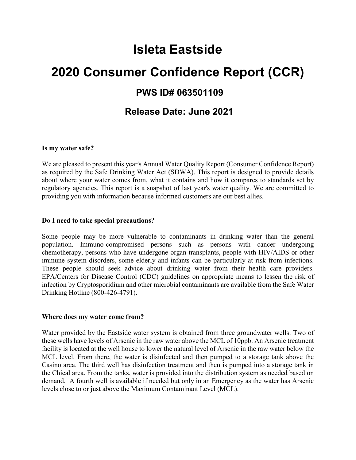# **Isleta Eastside**

# **2020 Consumer Confidence Report (CCR)**

## **PWS ID# 063501109**

### **Release Date: June 2021**

#### **Is my water safe?**

We are pleased to present this year's Annual Water Quality Report (Consumer Confidence Report) as required by the Safe Drinking Water Act (SDWA). This report is designed to provide details about where your water comes from, what it contains and how it compares to standards set by regulatory agencies. This report is a snapshot of last year's water quality. We are committed to providing you with information because informed customers are our best allies.

#### **Do I need to take special precautions?**

Some people may be more vulnerable to contaminants in drinking water than the general population. Immuno-compromised persons such as persons with cancer undergoing chemotherapy, persons who have undergone organ transplants, people with HIV/AIDS or other immune system disorders, some elderly and infants can be particularly at risk from infections. These people should seek advice about drinking water from their health care providers. EPA/Centers for Disease Control (CDC) guidelines on appropriate means to lessen the risk of infection by Cryptosporidium and other microbial contaminants are available from the Safe Water Drinking Hotline (800-426-4791).

#### **Where does my water come from?**

Water provided by the Eastside water system is obtained from three groundwater wells. Two of these wells have levels of Arsenic in the raw water above the MCL of 10ppb. An Arsenic treatment facility is located at the well house to lower the natural level of Arsenic in the raw water below the MCL level. From there, the water is disinfected and then pumped to a storage tank above the Casino area. The third well has disinfection treatment and then is pumped into a storage tank in the Chical area. From the tanks, water is provided into the distribution system as needed based on demand. A fourth well is available if needed but only in an Emergency as the water has Arsenic levels close to or just above the Maximum Contaminant Level (MCL).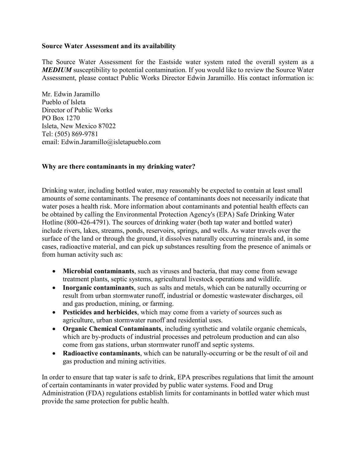#### **Source Water Assessment and its availability**

The Source Water Assessment for the Eastside water system rated the overall system as a *MEDIUM* susceptibility to potential contamination. If you would like to review the Source Water Assessment, please contact Public Works Director Edwin Jaramillo. His contact information is:

Mr. Edwin Jaramillo Pueblo of Isleta Director of Public Works PO Box 1270 Isleta, New Mexico 87022 Tel: (505) 869-9781 email: Edwin.Jaramillo@isletapueblo.com

#### **Why are there contaminants in my drinking water?**

Drinking water, including bottled water, may reasonably be expected to contain at least small amounts of some contaminants. The presence of contaminants does not necessarily indicate that water poses a health risk. More information about contaminants and potential health effects can be obtained by calling the Environmental Protection Agency's (EPA) Safe Drinking Water Hotline (800-426-4791). The sources of drinking water (both tap water and bottled water) include rivers, lakes, streams, ponds, reservoirs, springs, and wells. As water travels over the surface of the land or through the ground, it dissolves naturally occurring minerals and, in some cases, radioactive material, and can pick up substances resulting from the presence of animals or from human activity such as:

- **Microbial contaminants**, such as viruses and bacteria, that may come from sewage treatment plants, septic systems, agricultural livestock operations and wildlife.
- **Inorganic contaminants**, such as salts and metals, which can be naturally occurring or result from urban stormwater runoff, industrial or domestic wastewater discharges, oil and gas production, mining, or farming.
- **Pesticides and herbicides**, which may come from a variety of sources such as agriculture, urban stormwater runoff and residential uses.
- **Organic Chemical Contaminants**, including synthetic and volatile organic chemicals, which are by-products of industrial processes and petroleum production and can also come from gas stations, urban stormwater runoff and septic systems.
- **Radioactive contaminants**, which can be naturally-occurring or be the result of oil and gas production and mining activities.

In order to ensure that tap water is safe to drink, EPA prescribes regulations that limit the amount of certain contaminants in water provided by public water systems. Food and Drug Administration (FDA) regulations establish limits for contaminants in bottled water which must provide the same protection for public health.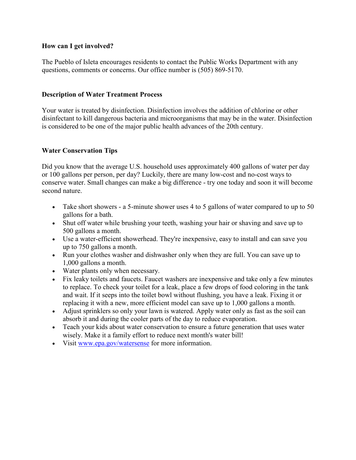#### **How can I get involved?**

The Pueblo of Isleta encourages residents to contact the Public Works Department with any questions, comments or concerns. Our office number is (505) 869-5170.

#### **Description of Water Treatment Process**

Your water is treated by disinfection. Disinfection involves the addition of chlorine or other disinfectant to kill dangerous bacteria and microorganisms that may be in the water. Disinfection is considered to be one of the major public health advances of the 20th century.

#### **Water Conservation Tips**

Did you know that the average U.S. household uses approximately 400 gallons of water per day or 100 gallons per person, per day? Luckily, there are many low-cost and no-cost ways to conserve water. Small changes can make a big difference - try one today and soon it will become second nature.

- Take short showers a 5-minute shower uses 4 to 5 gallons of water compared to up to 50 gallons for a bath.
- Shut off water while brushing your teeth, washing your hair or shaving and save up to 500 gallons a month.
- Use a water-efficient showerhead. They're inexpensive, easy to install and can save you up to 750 gallons a month.
- Run your clothes washer and dishwasher only when they are full. You can save up to 1,000 gallons a month.
- Water plants only when necessary.
- Fix leaky toilets and faucets. Faucet washers are inexpensive and take only a few minutes to replace. To check your toilet for a leak, place a few drops of food coloring in the tank and wait. If it seeps into the toilet bowl without flushing, you have a leak. Fixing it or replacing it with a new, more efficient model can save up to 1,000 gallons a month.
- Adjust sprinklers so only your lawn is watered. Apply water only as fast as the soil can absorb it and during the cooler parts of the day to reduce evaporation.
- Teach your kids about water conservation to ensure a future generation that uses water wisely. Make it a family effort to reduce next month's water bill!
- Visit [www.epa.gov/watersense](http://www.epa.gov/watersense) for more information.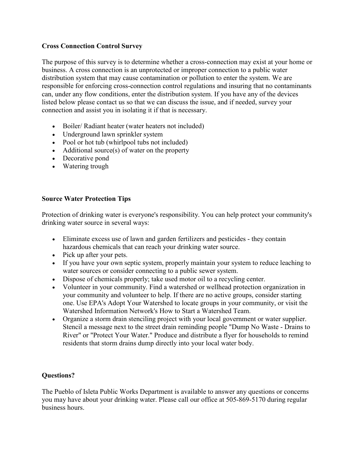#### **Cross Connection Control Survey**

The purpose of this survey is to determine whether a cross-connection may exist at your home or business. A cross connection is an unprotected or improper connection to a public water distribution system that may cause contamination or pollution to enter the system. We are responsible for enforcing cross-connection control regulations and insuring that no contaminants can, under any flow conditions, enter the distribution system. If you have any of the devices listed below please contact us so that we can discuss the issue, and if needed, survey your connection and assist you in isolating it if that is necessary.

- Boiler/ Radiant heater (water heaters not included)
- Underground lawn sprinkler system
- Pool or hot tub (whirlpool tubs not included)
- Additional source(s) of water on the property
- Decorative pond
- Watering trough

#### **Source Water Protection Tips**

Protection of drinking water is everyone's responsibility. You can help protect your community's drinking water source in several ways:

- Eliminate excess use of lawn and garden fertilizers and pesticides they contain hazardous chemicals that can reach your drinking water source.
- Pick up after your pets.
- If you have your own septic system, properly maintain your system to reduce leaching to water sources or consider connecting to a public sewer system.
- Dispose of chemicals properly; take used motor oil to a recycling center.
- Volunteer in your community. Find a watershed or wellhead protection organization in your community and volunteer to help. If there are no active groups, consider starting one. Use EPA's Adopt Your Watershed to locate groups in your community, or visit the Watershed Information Network's How to Start a Watershed Team.
- Organize a storm drain stenciling project with your local government or water supplier. Stencil a message next to the street drain reminding people "Dump No Waste - Drains to River" or "Protect Your Water." Produce and distribute a flyer for households to remind residents that storm drains dump directly into your local water body.

#### **Questions?**

The Pueblo of Isleta Public Works Department is available to answer any questions or concerns you may have about your drinking water. Please call our office at 505-869-5170 during regular business hours.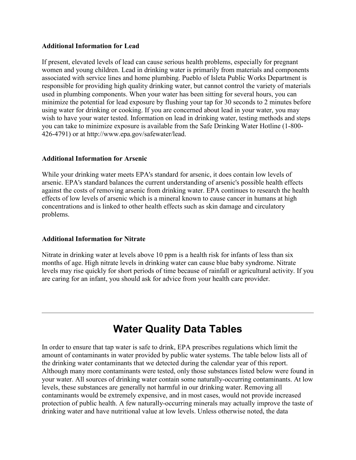#### **Additional Information for Lead**

If present, elevated levels of lead can cause serious health problems, especially for pregnant women and young children. Lead in drinking water is primarily from materials and components associated with service lines and home plumbing. Pueblo of Isleta Public Works Department is responsible for providing high quality drinking water, but cannot control the variety of materials used in plumbing components. When your water has been sitting for several hours, you can minimize the potential for lead exposure by flushing your tap for 30 seconds to 2 minutes before using water for drinking or cooking. If you are concerned about lead in your water, you may wish to have your water tested. Information on lead in drinking water, testing methods and steps you can take to minimize exposure is available from the Safe Drinking Water Hotline (1-800- 426-4791) or at http://www.epa.gov/safewater/lead.

#### **Additional Information for Arsenic**

While your drinking water meets EPA's standard for arsenic, it does contain low levels of arsenic. EPA's standard balances the current understanding of arsenic's possible health effects against the costs of removing arsenic from drinking water. EPA continues to research the health effects of low levels of arsenic which is a mineral known to cause cancer in humans at high concentrations and is linked to other health effects such as skin damage and circulatory problems.

#### **Additional Information for Nitrate**

Nitrate in drinking water at levels above 10 ppm is a health risk for infants of less than six months of age. High nitrate levels in drinking water can cause blue baby syndrome. Nitrate levels may rise quickly for short periods of time because of rainfall or agricultural activity. If you are caring for an infant, you should ask for advice from your health care provider.

## **Water Quality Data Tables**

In order to ensure that tap water is safe to drink, EPA prescribes regulations which limit the amount of contaminants in water provided by public water systems. The table below lists all of the drinking water contaminants that we detected during the calendar year of this report. Although many more contaminants were tested, only those substances listed below were found in your water. All sources of drinking water contain some naturally-occurring contaminants. At low levels, these substances are generally not harmful in our drinking water. Removing all contaminants would be extremely expensive, and in most cases, would not provide increased protection of public health. A few naturally-occurring minerals may actually improve the taste of drinking water and have nutritional value at low levels. Unless otherwise noted, the data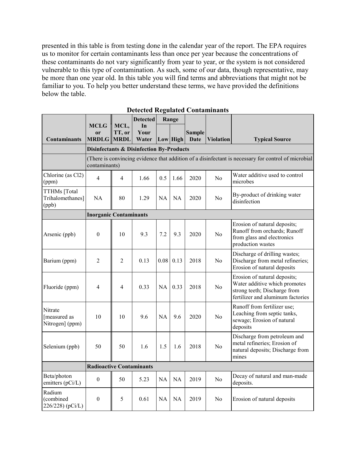presented in this table is from testing done in the calendar year of the report. The EPA requires us to monitor for certain contaminants less than once per year because the concentrations of these contaminants do not vary significantly from year to year, or the system is not considered vulnerable to this type of contamination. As such, some of our data, though representative, may be more than one year old. In this table you will find terms and abbreviations that might not be familiar to you. To help you better understand these terms, we have provided the definitions below the table.

|                                            | <b>MCLG</b><br>or                                                                                                    | MCL,<br>TT, or                                      | <b>Detected</b><br>In<br>Your |           | Range      | <b>Sample</b> |                  |                                                                                                                                    |  |  |  |
|--------------------------------------------|----------------------------------------------------------------------------------------------------------------------|-----------------------------------------------------|-------------------------------|-----------|------------|---------------|------------------|------------------------------------------------------------------------------------------------------------------------------------|--|--|--|
| <b>Contaminants</b>                        | <b>MRDLG</b>                                                                                                         | <b>MRDL</b>                                         | Water                         |           | $Low$ High | <b>Date</b>   | <b>Violation</b> | <b>Typical Source</b>                                                                                                              |  |  |  |
|                                            |                                                                                                                      | <b>Disinfectants &amp; Disinfection By-Products</b> |                               |           |            |               |                  |                                                                                                                                    |  |  |  |
|                                            | (There is convincing evidence that addition of a disinfectant is necessary for control of microbial<br>contaminants) |                                                     |                               |           |            |               |                  |                                                                                                                                    |  |  |  |
| Chlorine (as Cl2)<br>(ppm)                 | $\overline{4}$                                                                                                       | 4                                                   | 1.66                          | 0.5       | 1.66       | 2020          | No               | Water additive used to control<br>microbes                                                                                         |  |  |  |
| TTHMs [Total<br>Trihalomethanes]<br>(ppb)  | NA                                                                                                                   | 80                                                  | 1.29                          | NA        | <b>NA</b>  | 2020          | N <sub>o</sub>   | By-product of drinking water<br>disinfection                                                                                       |  |  |  |
|                                            | <b>Inorganic Contaminants</b>                                                                                        |                                                     |                               |           |            |               |                  |                                                                                                                                    |  |  |  |
| Arsenic (ppb)                              | $\boldsymbol{0}$                                                                                                     | 10                                                  | 9.3                           | 7.2       | 9.3        | 2020          | No               | Erosion of natural deposits;<br>Runoff from orchards; Runoff<br>from glass and electronics<br>production wastes                    |  |  |  |
| Barium (ppm)                               | $\overline{2}$                                                                                                       | $\overline{2}$                                      | 0.13                          | 0.08      | 0.13       | 2018          | N <sub>0</sub>   | Discharge of drilling wastes;<br>Discharge from metal refineries;<br>Erosion of natural deposits                                   |  |  |  |
| Fluoride (ppm)                             | 4                                                                                                                    | 4                                                   | 0.33                          | NA        | 0.33       | 2018          | No               | Erosion of natural deposits;<br>Water additive which promotes<br>strong teeth; Discharge from<br>fertilizer and aluminum factories |  |  |  |
| Nitrate<br>[measured as<br>Nitrogen] (ppm) | 10                                                                                                                   | 10                                                  | 9.6                           | NA        | 9.6        | 2020          | N <sub>0</sub>   | Runoff from fertilizer use;<br>Leaching from septic tanks,<br>sewage; Erosion of natural<br>deposits                               |  |  |  |
| Selenium (ppb)                             | 50                                                                                                                   | 50                                                  | 1.6                           | 1.5       | 1.6        | 2018          | No               | Discharge from petroleum and<br>metal refineries; Erosion of<br>natural deposits; Discharge from<br>mines                          |  |  |  |
|                                            | <b>Radioactive Contaminants</b>                                                                                      |                                                     |                               |           |            |               |                  |                                                                                                                                    |  |  |  |
| Beta/photon<br>emitters (pCi/L)            | $\boldsymbol{0}$                                                                                                     | 50                                                  | 5.23                          | <b>NA</b> | <b>NA</b>  | 2019          | N <sub>o</sub>   | Decay of natural and man-made<br>deposits.                                                                                         |  |  |  |
| Radium<br>(combined<br>226/228) (pCi/L)    | $\boldsymbol{0}$                                                                                                     | 5                                                   | 0.61                          | NA        | <b>NA</b>  | 2019          | No               | Erosion of natural deposits                                                                                                        |  |  |  |

**Detected Regulated Contaminants**

<u> The Communication of the Communication of</u>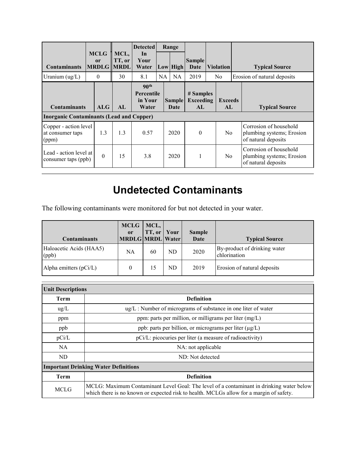|                                                                        |          |                              |                                     | <b>Detected</b>                                           | Range     |                       |                                      |                |                       |                                                                            |  |
|------------------------------------------------------------------------|----------|------------------------------|-------------------------------------|-----------------------------------------------------------|-----------|-----------------------|--------------------------------------|----------------|-----------------------|----------------------------------------------------------------------------|--|
| <b>Contaminants</b>                                                    |          | <b>MCLG</b><br><sub>or</sub> | MCL,<br>TT, or<br><b>MRDLG MRDL</b> | In<br>Your<br>Water                                       |           | Low High              | <b>Sample</b><br>Date                |                | <b>Violation</b>      | <b>Typical Source</b>                                                      |  |
| Uranium (ug/L)                                                         | $\theta$ |                              | 30                                  | 8.1                                                       | <b>NA</b> | <b>NA</b>             | 2019                                 | N <sub>0</sub> |                       | Erosion of natural deposits                                                |  |
| <b>Contaminants</b><br><b>Inorganic Contaminants (Lead and Copper)</b> |          | ALG                          | AI.                                 | 90 <sup>th</sup><br><b>Percentile</b><br>in Your<br>Water |           | <b>Sample</b><br>Date | # Samples<br><b>Exceeding</b><br>AI. |                | <b>Exceeds</b><br>AI. | <b>Typical Source</b>                                                      |  |
| Copper - action level<br>at consumer taps<br>(ppm)                     |          | 1.3                          | 1.3                                 | 0.57                                                      |           | 2020                  | $\theta$                             |                | N <sub>o</sub>        | Corrosion of household<br>plumbing systems; Erosion<br>of natural deposits |  |
| Lead - action level at<br>consumer taps (ppb)                          |          | $\Omega$                     | 15                                  | 3.8                                                       |           | 2020                  |                                      |                | N <sub>0</sub>        | Corrosion of household<br>plumbing systems; Erosion<br>of natural deposits |  |

## **Undetected Contaminants**

The following contaminants were monitored for but not detected in your water.

| <b>Contaminants</b>              | $MCLG$   MCL,<br><sub>or</sub><br>MRDLG MRDL Water | TT, or | Your | <b>Sample</b><br>Date | <b>Typical Source</b>                        |
|----------------------------------|----------------------------------------------------|--------|------|-----------------------|----------------------------------------------|
| Haloacetic Acids (HAA5)<br>(ppb) | NA                                                 | 60     | ND   | 2020                  | By-product of drinking water<br>chlorination |
| Alpha emitters $(pCi/L)$         | 0                                                  |        | ND   | 2019                  | Erosion of natural deposits                  |

| <b>Unit Descriptions</b> |                                                                                                                                                                                     |  |  |  |  |  |  |
|--------------------------|-------------------------------------------------------------------------------------------------------------------------------------------------------------------------------------|--|--|--|--|--|--|
| <b>Term</b>              | <b>Definition</b>                                                                                                                                                                   |  |  |  |  |  |  |
| $\text{ug/L}$            | $\mu$ g/L : Number of micrograms of substance in one liter of water                                                                                                                 |  |  |  |  |  |  |
| ppm                      | ppm: parts per million, or milligrams per liter $(mg/L)$                                                                                                                            |  |  |  |  |  |  |
| ppb                      | ppb: parts per billion, or micrograms per liter (µg/L)                                                                                                                              |  |  |  |  |  |  |
| pCi/L                    | pCi/L: picocuries per liter (a measure of radioactivity)                                                                                                                            |  |  |  |  |  |  |
| NA                       | NA: not applicable                                                                                                                                                                  |  |  |  |  |  |  |
| ND                       | ND: Not detected                                                                                                                                                                    |  |  |  |  |  |  |
|                          | <b>Important Drinking Water Definitions</b>                                                                                                                                         |  |  |  |  |  |  |
| Term                     | <b>Definition</b>                                                                                                                                                                   |  |  |  |  |  |  |
| <b>MCLG</b>              | MCLG: Maximum Contaminant Level Goal: The level of a contaminant in drinking water below<br>which there is no known or expected risk to health. MCLGs allow for a margin of safety. |  |  |  |  |  |  |